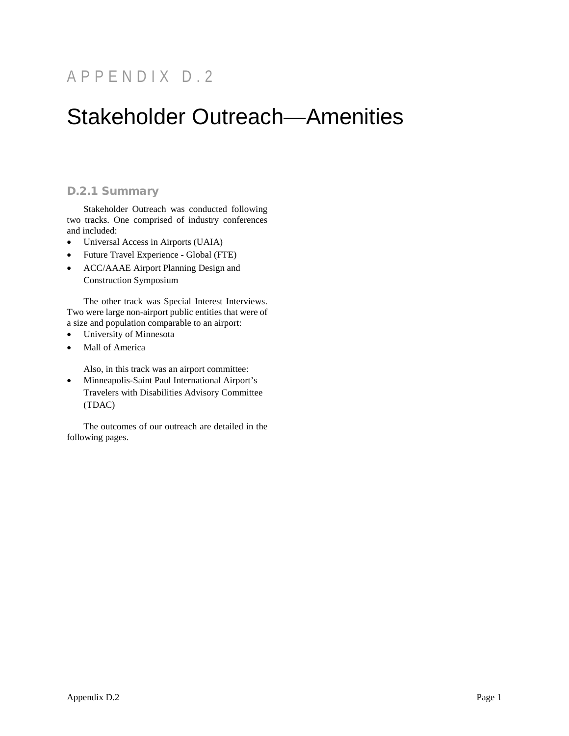## APPENDIX D.2

# Stakeholder Outreach—Amenities

## D.2.1 Summary

Stakeholder Outreach was conducted following two tracks. One comprised of industry conferences and included:

- Universal Access in Airports (UAIA)
- Future Travel Experience Global (FTE)
- ACC/AAAE Airport Planning Design and Construction Symposium

The other track was Special Interest Interviews. Two were large non-airport public entities that were of a size and population comparable to an airport:

- University of Minnesota
- Mall of America

Also, in this track was an airport committee:

• Minneapolis-Saint Paul International Airport's Travelers with Disabilities Advisory Committee (TDAC)

The outcomes of our outreach are detailed in the following pages.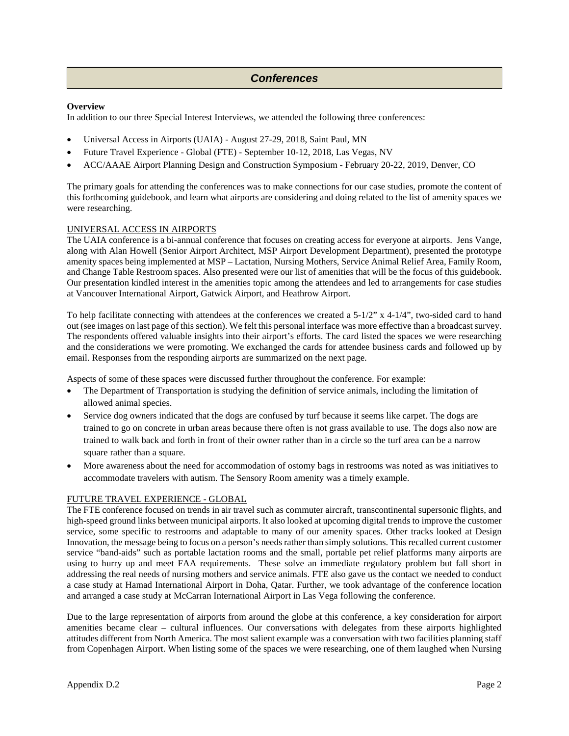## $Conferences$

#### **Overview**

In addition to our three Special Interest Interviews, we attended the following three conferences:

- Universal Access in Airports (UAIA) August 27-29, 2018, Saint Paul, MN
- Future Travel Experience Global (FTE) September 10-12, 2018, Las Vegas, NV
- ACC/AAAE Airport Planning Design and Construction Symposium February 20-22, 2019, Denver, CO

The primary goals for attending the conferences was to make connections for our case studies, promote the content of this forthcoming guidebook, and learn what airports are considering and doing related to the list of amenity spaces we were researching.

#### UNIVERSAL ACCESS IN AIRPORTS

The UAIA conference is a bi-annual conference that focuses on creating access for everyone at airports. Jens Vange, along with Alan Howell (Senior Airport Architect, MSP Airport Development Department), presented the prototype amenity spaces being implemented at MSP – Lactation, Nursing Mothers, Service Animal Relief Area, Family Room, and Change Table Restroom spaces. Also presented were our list of amenities that will be the focus of this guidebook. Our presentation kindled interest in the amenities topic among the attendees and led to arrangements for case studies at Vancouver International Airport, Gatwick Airport, and Heathrow Airport.

To help facilitate connecting with attendees at the conferences we created a  $5-1/2$ " x 4-1/4", two-sided card to hand out (see images on last page of this section). We felt this personal interface was more effective than a broadcast survey. The respondents offered valuable insights into their airport's efforts. The card listed the spaces we were researching and the considerations we were promoting. We exchanged the cards for attendee business cards and followed up by email. Responses from the responding airports are summarized on the next page.

Aspects of some of these spaces were discussed further throughout the conference. For example:

- The Department of Transportation is studying the definition of service animals, including the limitation of allowed animal species.
- Service dog owners indicated that the dogs are confused by turf because it seems like carpet. The dogs are trained to go on concrete in urban areas because there often is not grass available to use. The dogs also now are trained to walk back and forth in front of their owner rather than in a circle so the turf area can be a narrow square rather than a square.
- More awareness about the need for accommodation of ostomy bags in restrooms was noted as was initiatives to accommodate travelers with autism. The Sensory Room amenity was a timely example.

#### FUTURE TRAVEL EXPERIENCE - GLOBAL

The FTE conference focused on trends in air travel such as commuter aircraft, transcontinental supersonic flights, and high-speed ground links between municipal airports. It also looked at upcoming digital trends to improve the customer service, some specific to restrooms and adaptable to many of our amenity spaces. Other tracks looked at Design Innovation, the message being to focus on a person's needs rather than simply solutions. This recalled current customer service "band-aids" such as portable lactation rooms and the small, portable pet relief platforms many airports are using to hurry up and meet FAA requirements. These solve an immediate regulatory problem but fall short in addressing the real needs of nursing mothers and service animals. FTE also gave us the contact we needed to conduct a case study at Hamad International Airport in Doha, Qatar. Further, we took advantage of the conference location and arranged a case study at McCarran International Airport in Las Vega following the conference.

Due to the large representation of airports from around the globe at this conference, a key consideration for airport amenities became clear – cultural influences. Our conversations with delegates from these airports highlighted attitudes different from North America. The most salient example was a conversation with two facilities planning staff from Copenhagen Airport. When listing some of the spaces we were researching, one of them laughed when Nursing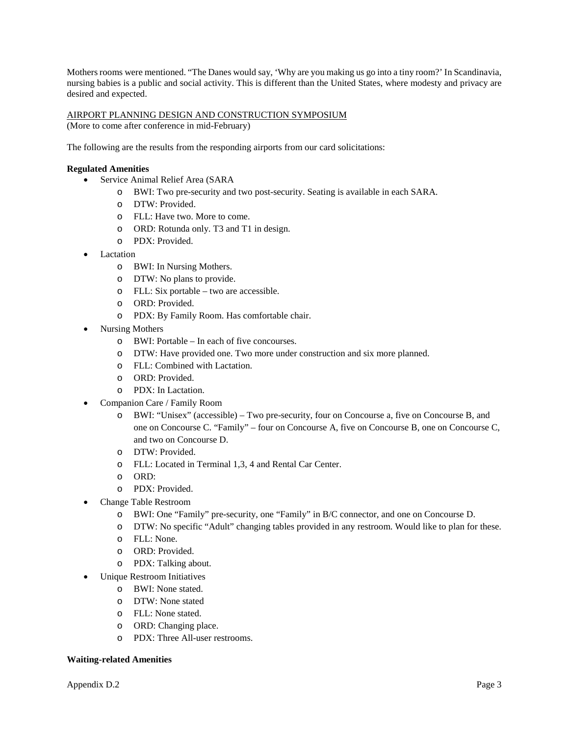Mothers rooms were mentioned. "The Danes would say, 'Why are you making us go into a tiny room?' In Scandinavia, nursing babies is a public and social activity. This is different than the United States, where modesty and privacy are desired and expected.

#### AIRPORT PLANNING DESIGN AND CONSTRUCTION SYMPOSIUM

(More to come after conference in mid-February)

The following are the results from the responding airports from our card solicitations:

#### **Regulated Amenities**

- Service Animal Relief Area (SARA
	- o BWI: Two pre-security and two post-security. Seating is available in each SARA.
	- o DTW: Provided.
	- o FLL: Have two. More to come.
	- o ORD: Rotunda only. T3 and T1 in design.
	- o PDX: Provided.
- Lactation
	- o BWI: In Nursing Mothers.
	- o DTW: No plans to provide.
	- o FLL: Six portable two are accessible.
	- o ORD: Provided.
	- o PDX: By Family Room. Has comfortable chair.
- Nursing Mothers
	- o BWI: Portable In each of five concourses.
	- o DTW: Have provided one. Two more under construction and six more planned.
	- o FLL: Combined with Lactation.
	- o ORD: Provided.
	- o PDX: In Lactation.
- Companion Care / Family Room
	- o BWI: "Unisex" (accessible) Two pre-security, four on Concourse a, five on Concourse B, and one on Concourse C. "Family" – four on Concourse A, five on Concourse B, one on Concourse C, and two on Concourse D.
	- o DTW: Provided.
	- o FLL: Located in Terminal 1,3, 4 and Rental Car Center.
	- o ORD:
	- o PDX: Provided.
	- Change Table Restroom
		- o BWI: One "Family" pre-security, one "Family" in B/C connector, and one on Concourse D.
		- o DTW: No specific "Adult" changing tables provided in any restroom. Would like to plan for these.
		- o FLL: None.
		- o ORD: Provided.
		- o PDX: Talking about.
		- Unique Restroom Initiatives
			- o BWI: None stated.
			- o DTW: None stated
			- o FLL: None stated.
			- o ORD: Changing place.
			- o PDX: Three All-user restrooms.

#### **Waiting-related Amenities**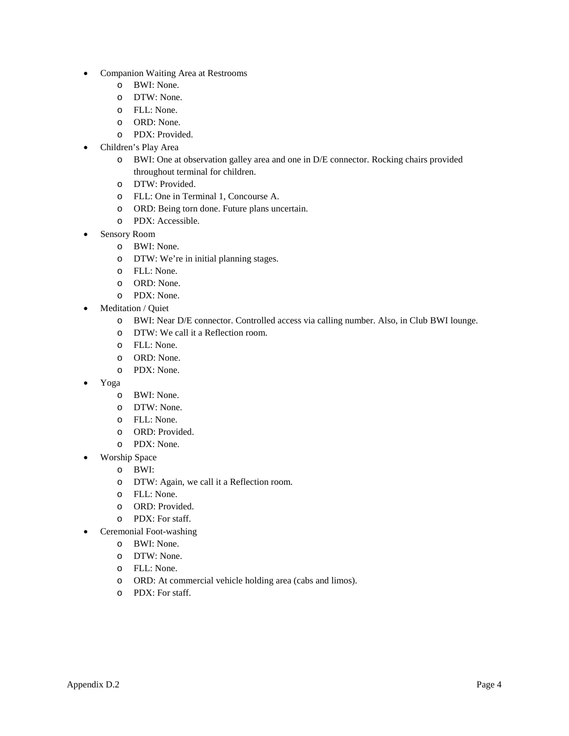- Companion Waiting Area at Restrooms
	- o BWI: None.
	- o DTW: None.
	- o FLL: None.
	- o ORD: None.
	- o PDX: Provided.
- Children's Play Area
	- o BWI: One at observation galley area and one in D/E connector. Rocking chairs provided throughout terminal for children.
	- o DTW: Provided.
	- o FLL: One in Terminal 1, Concourse A.
	- o ORD: Being torn done. Future plans uncertain.
	- o PDX: Accessible.
- Sensory Room
	- o BWI: None.
	- o DTW: We're in initial planning stages.
	- o FLL: None.
	- o ORD: None.
	- o PDX: None.
- Meditation / Quiet
	- o BWI: Near D/E connector. Controlled access via calling number. Also, in Club BWI lounge.
	- o DTW: We call it a Reflection room.
	- o FLL: None.
	- o ORD: None.
	- o PDX: None.
- Yoga
	- o BWI: None.
	- o DTW: None.
	- o FLL: None.
	- o ORD: Provided.
	- o PDX: None.
- Worship Space
	- o BWI:
	- o DTW: Again, we call it a Reflection room.
	- o FLL: None.
	- o ORD: Provided.
	- o PDX: For staff.
- Ceremonial Foot-washing
	- o BWI: None.
	- o DTW: None.
	- o FLL: None.
	- o ORD: At commercial vehicle holding area (cabs and limos).
	- o PDX: For staff.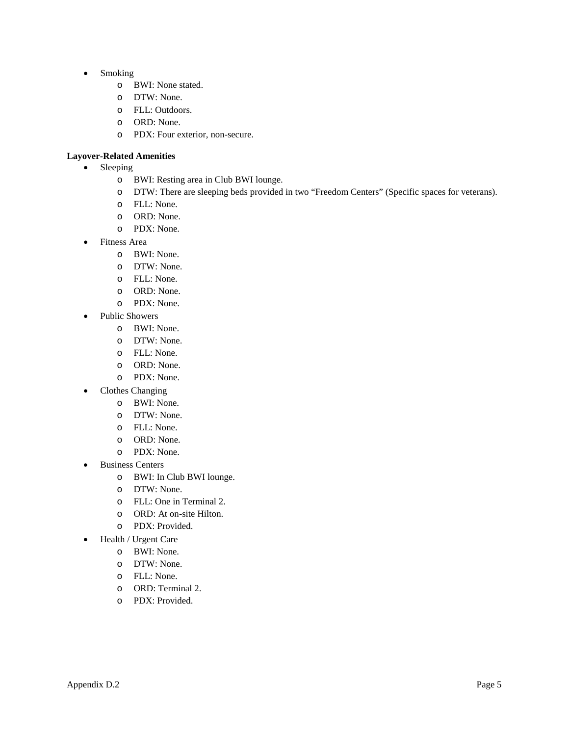- Smoking
	- o BWI: None stated.
	- o DTW: None.
	- o FLL: Outdoors.
	- o ORD: None.
	- o PDX: Four exterior, non-secure.

#### **Layover-Related Amenities**

- Sleeping
	- o BWI: Resting area in Club BWI lounge.
	- o DTW: There are sleeping beds provided in two "Freedom Centers" (Specific spaces for veterans).
	- o FLL: None.
	- o ORD: None.
	- o PDX: None.
- Fitness Area
	- o BWI: None.
	- o DTW: None.
	- o FLL: None.
	- o ORD: None.
	- o PDX: None.
- Public Showers
	- o BWI: None.
	- o DTW: None.
	- o FLL: None.
	- o ORD: None.
	- o PDX: None.
- Clothes Changing
	- o BWI: None.
	- o DTW: None.
	- o FLL: None.
	- o ORD: None.
	- o PDX: None.
- **Business Centers** 
	- o BWI: In Club BWI lounge.
	- o DTW: None.
	- o FLL: One in Terminal 2.
	- o ORD: At on-site Hilton.
	- o PDX: Provided.
- Health / Urgent Care
	- o BWI: None.
	- o DTW: None.
	- o FLL: None.
	- o ORD: Terminal 2.
	- o PDX: Provided.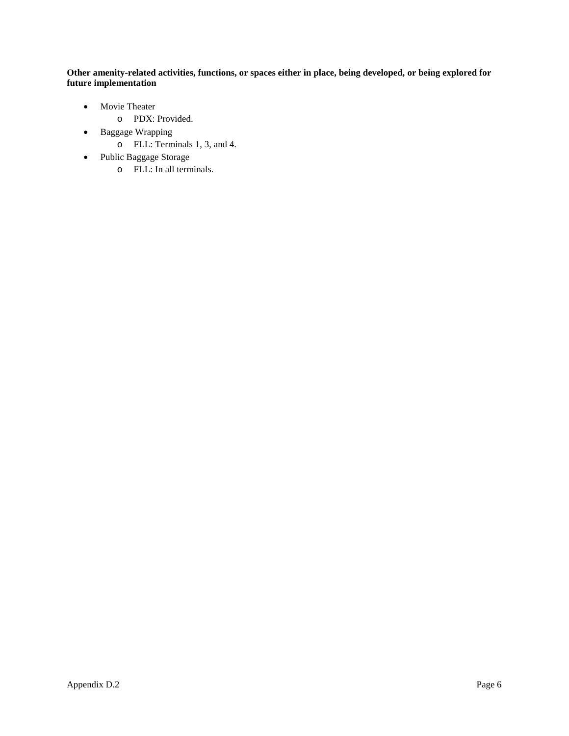**Other amenity-related activities, functions, or spaces either in place, being developed, or being explored for future implementation**

- Movie Theater
	- o PDX: Provided.
- Baggage Wrapping
	- o FLL: Terminals 1, 3, and 4.
- Public Baggage Storage
	- o FLL: In all terminals.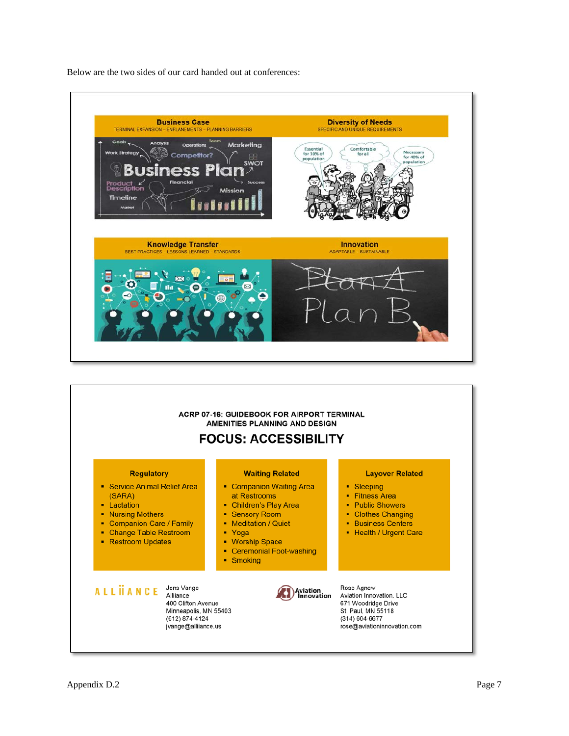

Below are the two sides of our card handed out at conferences:

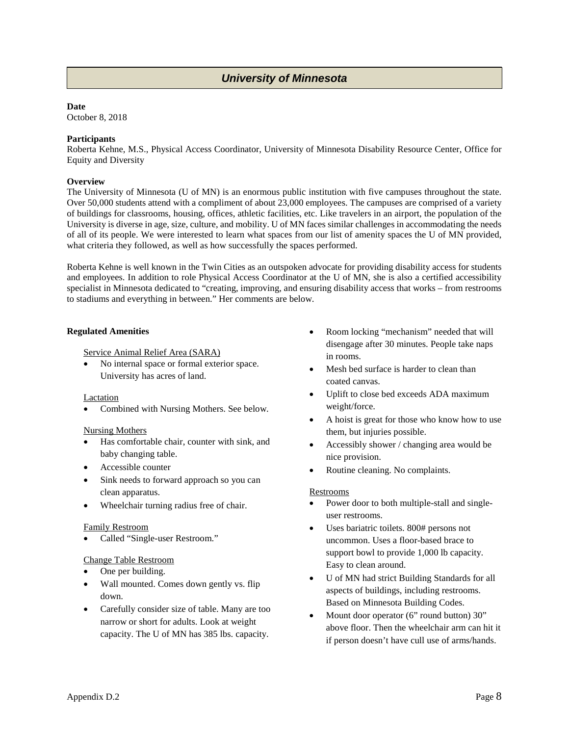## *University of Minnesota*

#### **Date**

October 8, 2018

#### **Participants**

Roberta Kehne, M.S., Physical Access Coordinator, University of Minnesota Disability Resource Center, Office for Equity and Diversity

#### **Overview**

The University of Minnesota (U of MN) is an enormous public institution with five campuses throughout the state. Over 50,000 students attend with a compliment of about 23,000 employees. The campuses are comprised of a variety of buildings for classrooms, housing, offices, athletic facilities, etc. Like travelers in an airport, the population of the University is diverse in age, size, culture, and mobility. U of MN faces similar challenges in accommodating the needs of all of its people. We were interested to learn what spaces from our list of amenity spaces the U of MN provided, what criteria they followed, as well as how successfully the spaces performed.

Roberta Kehne is well known in the Twin Cities as an outspoken advocate for providing disability access for students and employees. In addition to role Physical Access Coordinator at the U of MN, she is also a certified accessibility specialist in Minnesota dedicated to "creating, improving, and ensuring disability access that works – from restrooms to stadiums and everything in between." Her comments are below.

#### **Regulated Amenities**

Service Animal Relief Area (SARA)

• No internal space or formal exterior space. University has acres of land.

Lactation

• Combined with Nursing Mothers. See below.

#### Nursing Mothers

- Has comfortable chair, counter with sink, and baby changing table.
- Accessible counter
- Sink needs to forward approach so you can clean apparatus.
- Wheelchair turning radius free of chair.

#### Family Restroom

• Called "Single-user Restroom."

#### Change Table Restroom

- One per building.
- Wall mounted. Comes down gently vs. flip down.
- Carefully consider size of table. Many are too narrow or short for adults. Look at weight capacity. The U of MN has 385 lbs. capacity.
- Room locking "mechanism" needed that will disengage after 30 minutes. People take naps in rooms.
- Mesh bed surface is harder to clean than coated canvas.
- Uplift to close bed exceeds ADA maximum weight/force.
- A hoist is great for those who know how to use them, but injuries possible.
- Accessibly shower / changing area would be nice provision.
- Routine cleaning. No complaints.

#### Restrooms

- Power door to both multiple-stall and singleuser restrooms.
- Uses bariatric toilets. 800# persons not uncommon. Uses a floor-based brace to support bowl to provide 1,000 lb capacity. Easy to clean around.
- U of MN had strict Building Standards for all aspects of buildings, including restrooms. Based on Minnesota Building Codes.
- Mount door operator (6" round button) 30" above floor. Then the wheelchair arm can hit it if person doesn't have cull use of arms/hands.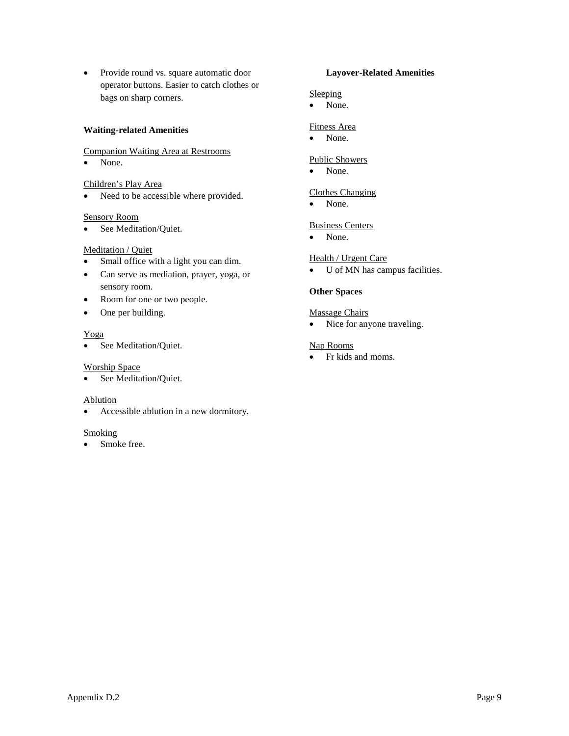• Provide round vs. square automatic door operator buttons. Easier to catch clothes or bags on sharp corners.

#### **Waiting-related Amenities**

#### Companion Waiting Area at Restrooms

• None.

## Children's Play Area

• Need to be accessible where provided.

#### Sensory Room

• See Meditation/Quiet.

#### Meditation / Quiet

- Small office with a light you can dim.
- Can serve as mediation, prayer, yoga, or sensory room.
- Room for one or two people.
- One per building.

#### Yoga

• See Meditation/Quiet.

#### Worship Space

• See Meditation/Quiet.

#### Ablution

• Accessible ablution in a new dormitory.

#### **Smoking**

• Smoke free.

#### **Layover-Related Amenities**

#### Sleeping

• None.

#### Fitness Area

• None.

#### Public Showers

• None.

## Clothes Changing

• None.

#### Business Centers

• None.

#### Health / Urgent Care

• U of MN has campus facilities.

#### **Other Spaces**

#### Massage Chairs

• Nice for anyone traveling.

#### Nap Rooms

• Fr kids and moms.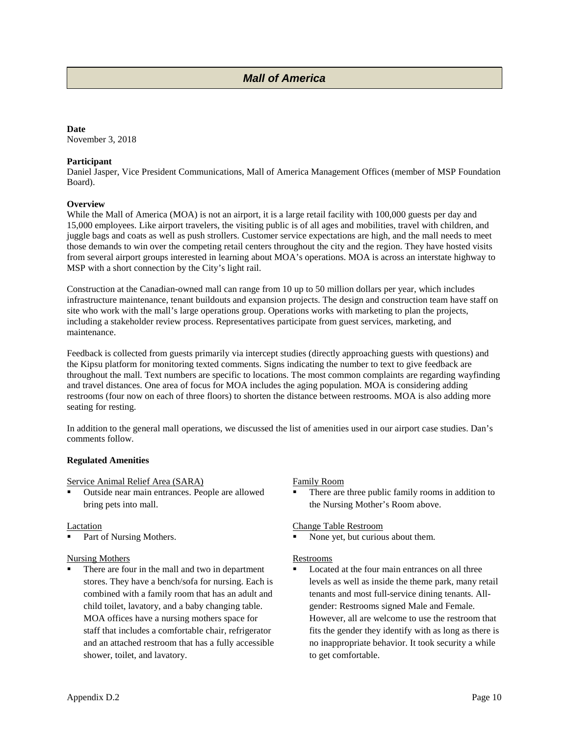## *Mall of America Name*

#### **Date**

November 3, 2018

#### **Participant**

Daniel Jasper, Vice President Communications, Mall of America Management Offices (member of MSP Foundation Board).

#### **Overview**

While the Mall of America (MOA) is not an airport, it is a large retail facility with 100,000 guests per day and 15,000 employees. Like airport travelers, the visiting public is of all ages and mobilities, travel with children, and juggle bags and coats as well as push strollers. Customer service expectations are high, and the mall needs to meet those demands to win over the competing retail centers throughout the city and the region. They have hosted visits from several airport groups interested in learning about MOA's operations. MOA is across an interstate highway to MSP with a short connection by the City's light rail.

Construction at the Canadian-owned mall can range from 10 up to 50 million dollars per year, which includes infrastructure maintenance, tenant buildouts and expansion projects. The design and construction team have staff on site who work with the mall's large operations group. Operations works with marketing to plan the projects, including a stakeholder review process. Representatives participate from guest services, marketing, and maintenance.

Feedback is collected from guests primarily via intercept studies (directly approaching guests with questions) and the Kipsu platform for monitoring texted comments. Signs indicating the number to text to give feedback are throughout the mall. Text numbers are specific to locations. The most common complaints are regarding wayfinding and travel distances. One area of focus for MOA includes the aging population. MOA is considering adding restrooms (four now on each of three floors) to shorten the distance between restrooms. MOA is also adding more seating for resting.

In addition to the general mall operations, we discussed the list of amenities used in our airport case studies. Dan's comments follow.

#### **Regulated Amenities**

Service Animal Relief Area (SARA)

 Outside near main entrances. People are allowed bring pets into mall.

#### Lactation

Part of Nursing Mothers.

#### Nursing Mothers

 There are four in the mall and two in department stores. They have a bench/sofa for nursing. Each is combined with a family room that has an adult and child toilet, lavatory, and a baby changing table. MOA offices have a nursing mothers space for staff that includes a comfortable chair, refrigerator and an attached restroom that has a fully accessible shower, toilet, and lavatory.

#### Family Room

 There are three public family rooms in addition to the Nursing Mother's Room above.

#### Change Table Restroom

None yet, but curious about them.

#### Restrooms

 Located at the four main entrances on all three levels as well as inside the theme park, many retail tenants and most full-service dining tenants. Allgender: Restrooms signed Male and Female. However, all are welcome to use the restroom that fits the gender they identify with as long as there is no inappropriate behavior. It took security a while to get comfortable.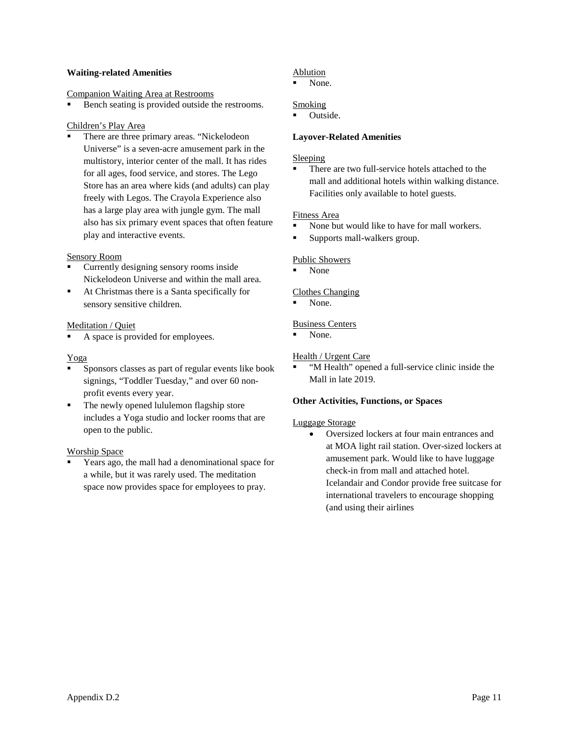#### **Waiting-related Amenities**

#### Companion Waiting Area at Restrooms

Bench seating is provided outside the restrooms.

#### Children's Play Area

 There are three primary areas. "Nickelodeon Universe" is a seven-acre amusement park in the multistory, interior center of the mall. It has rides for all ages, food service, and stores. The Lego Store has an area where kids (and adults) can play freely with Legos. The Crayola Experience also has a large play area with jungle gym. The mall also has six primary event spaces that often feature play and interactive events.

#### Sensory Room

- Currently designing sensory rooms inside Nickelodeon Universe and within the mall area.
- At Christmas there is a Santa specifically for sensory sensitive children.

#### Meditation / Quiet

A space is provided for employees.

#### Yoga

- Sponsors classes as part of regular events like book signings, "Toddler Tuesday," and over 60 nonprofit events every year.
- The newly opened lululemon flagship store includes a Yoga studio and locker rooms that are open to the public.

#### Worship Space

 Years ago, the mall had a denominational space for a while, but it was rarely used. The meditation space now provides space for employees to pray.

## Ablution

None.

#### Smoking

Outside.

#### **Layover-Related Amenities**

#### Sleeping

 There are two full-service hotels attached to the mall and additional hotels within walking distance. Facilities only available to hotel guests.

#### Fitness Area

- None but would like to have for mall workers.
- **Supports mall-walkers group.**

#### Public Showers

None

#### Clothes Changing

None.

#### Business Centers

None.

#### Health / Urgent Care

 "M Health" opened a full-service clinic inside the Mall in late 2019.

#### **Other Activities, Functions, or Spaces**

#### Luggage Storage

• Oversized lockers at four main entrances and at MOA light rail station. Over-sized lockers at amusement park. Would like to have luggage check-in from mall and attached hotel. Icelandair and Condor provide free suitcase for international travelers to encourage shopping (and using their airlines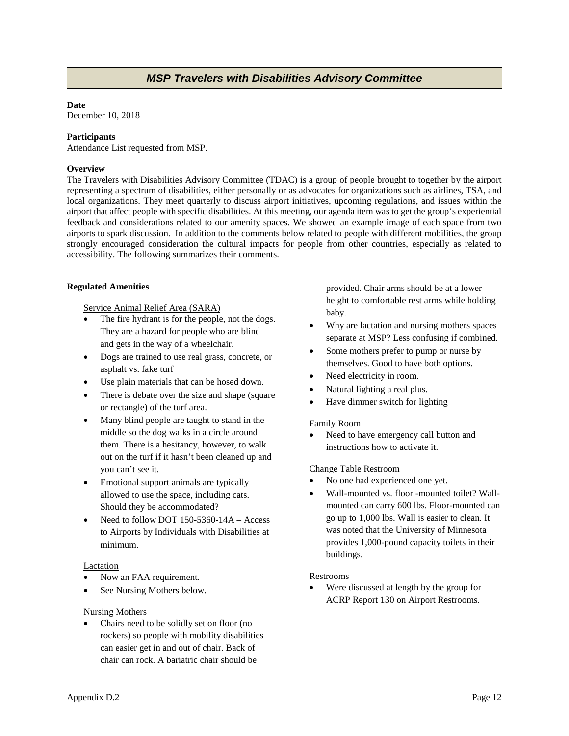## *MSP Travelers with Disabilities Advisory Committee*

#### **Date**

December 10, 2018

#### **Participants**

Attendance List requested from MSP.

#### **Overview**

The Travelers with Disabilities Advisory Committee (TDAC) is a group of people brought to together by the airport representing a spectrum of disabilities, either personally or as advocates for organizations such as airlines, TSA, and local organizations. They meet quarterly to discuss airport initiatives, upcoming regulations, and issues within the airport that affect people with specific disabilities. At this meeting, our agenda item was to get the group's experiential feedback and considerations related to our amenity spaces. We showed an example image of each space from two airports to spark discussion. In addition to the comments below related to people with different mobilities, the group strongly encouraged consideration the cultural impacts for people from other countries, especially as related to accessibility. The following summarizes their comments.

#### **Regulated Amenities**

Service Animal Relief Area (SARA)

- The fire hydrant is for the people, not the dogs. They are a hazard for people who are blind and gets in the way of a wheelchair.
- Dogs are trained to use real grass, concrete, or asphalt vs. fake turf
- Use plain materials that can be hosed down.
- There is debate over the size and shape (square) or rectangle) of the turf area.
- Many blind people are taught to stand in the middle so the dog walks in a circle around them. There is a hesitancy, however, to walk out on the turf if it hasn't been cleaned up and you can't see it.
- Emotional support animals are typically allowed to use the space, including cats. Should they be accommodated?
- Need to follow DOT 150-5360-14A Access to Airports by Individuals with Disabilities at minimum.

#### Lactation

- Now an FAA requirement.
- See Nursing Mothers below.

#### Nursing Mothers

• Chairs need to be solidly set on floor (no rockers) so people with mobility disabilities can easier get in and out of chair. Back of chair can rock. A bariatric chair should be

provided. Chair arms should be at a lower height to comfortable rest arms while holding baby.

- Why are lactation and nursing mothers spaces separate at MSP? Less confusing if combined.
- Some mothers prefer to pump or nurse by themselves. Good to have both options.
- Need electricity in room.
- Natural lighting a real plus.
- Have dimmer switch for lighting

#### Family Room

Need to have emergency call button and instructions how to activate it.

#### Change Table Restroom

- No one had experienced one yet.
- Wall-mounted vs. floor -mounted toilet? Wallmounted can carry 600 lbs. Floor-mounted can go up to 1,000 lbs. Wall is easier to clean. It was noted that the University of Minnesota provides 1,000-pound capacity toilets in their buildings.

#### Restrooms

• Were discussed at length by the group for ACRP Report 130 on Airport Restrooms.